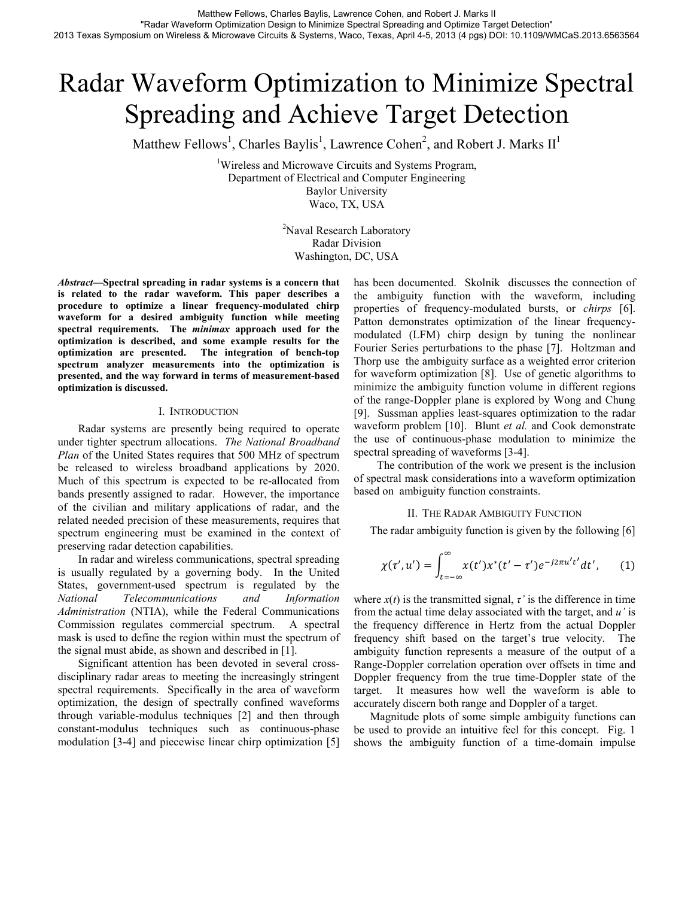# Radar Waveform Optimization to Minimize Spectral Spreading and Achieve Target Detection

Matthew Fellows<sup>1</sup>, Charles Baylis<sup>1</sup>, Lawrence Cohen<sup>2</sup>, and Robert J. Marks  $II<sup>1</sup>$ 

<sup>1</sup>Wireless and Microwave Circuits and Systems Program, Department of Electrical and Computer Engineering Baylor University Waco, TX, USA

> <sup>2</sup>Naval Research Laboratory Radar Division Washington, DC, USA

*Abstract***—Spectral spreading in radar systems is a concern that is related to the radar waveform. This paper describes a procedure to optimize a linear frequency-modulated chirp waveform for a desired ambiguity function while meeting spectral requirements. The** *minimax* **approach used for the optimization is described, and some example results for the optimization are presented. The integration of bench-top spectrum analyzer measurements into the optimization is presented, and the way forward in terms of measurement-based optimization is discussed.** 

### I. INTRODUCTION

Radar systems are presently being required to operate under tighter spectrum allocations. *The National Broadband Plan* of the United States requires that 500 MHz of spectrum be released to wireless broadband applications by 2020. Much of this spectrum is expected to be re-allocated from bands presently assigned to radar. However, the importance of the civilian and military applications of radar, and the related needed precision of these measurements, requires that spectrum engineering must be examined in the context of preserving radar detection capabilities.

In radar and wireless communications, spectral spreading is usually regulated by a governing body. In the United States, government-used spectrum is regulated by the *National Telecommunications and Information Administration* (NTIA), while the Federal Communications Commission regulates commercial spectrum. A spectral mask is used to define the region within must the spectrum of the signal must abide, as shown and described in [1].

Significant attention has been devoted in several crossdisciplinary radar areas to meeting the increasingly stringent spectral requirements. Specifically in the area of waveform optimization, the design of spectrally confined waveforms through variable-modulus techniques [2] and then through constant-modulus techniques such as continuous-phase modulation [3-4] and piecewise linear chirp optimization [5] has been documented. Skolnik discusses the connection of the ambiguity function with the waveform, including properties of frequency-modulated bursts, or *chirps* [6]. Patton demonstrates optimization of the linear frequencymodulated (LFM) chirp design by tuning the nonlinear Fourier Series perturbations to the phase [7]. Holtzman and Thorp use the ambiguity surface as a weighted error criterion for waveform optimization [8]. Use of genetic algorithms to minimize the ambiguity function volume in different regions of the range-Doppler plane is explored by Wong and Chung [9]. Sussman applies least-squares optimization to the radar waveform problem [10]. Blunt *et al.* and Cook demonstrate the use of continuous-phase modulation to minimize the spectral spreading of waveforms [3-4].

 The contribution of the work we present is the inclusion of spectral mask considerations into a waveform optimization based on ambiguity function constraints.

## II. THE RADAR AMBIGUITY FUNCTION

The radar ambiguity function is given by the following [6]

$$
\chi(\tau', u') = \int_{t=-\infty}^{\infty} x(t') x^*(t' - \tau') e^{-j2\pi u' t'} dt', \qquad (1)
$$

where  $x(t)$  is the transmitted signal,  $\tau'$  is the difference in time from the actual time delay associated with the target, and *u'* is the frequency difference in Hertz from the actual Doppler frequency shift based on the target's true velocity. The ambiguity function represents a measure of the output of a Range-Doppler correlation operation over offsets in time and Doppler frequency from the true time-Doppler state of the target. It measures how well the waveform is able to accurately discern both range and Doppler of a target.

Magnitude plots of some simple ambiguity functions can be used to provide an intuitive feel for this concept. Fig. 1 shows the ambiguity function of a time-domain impulse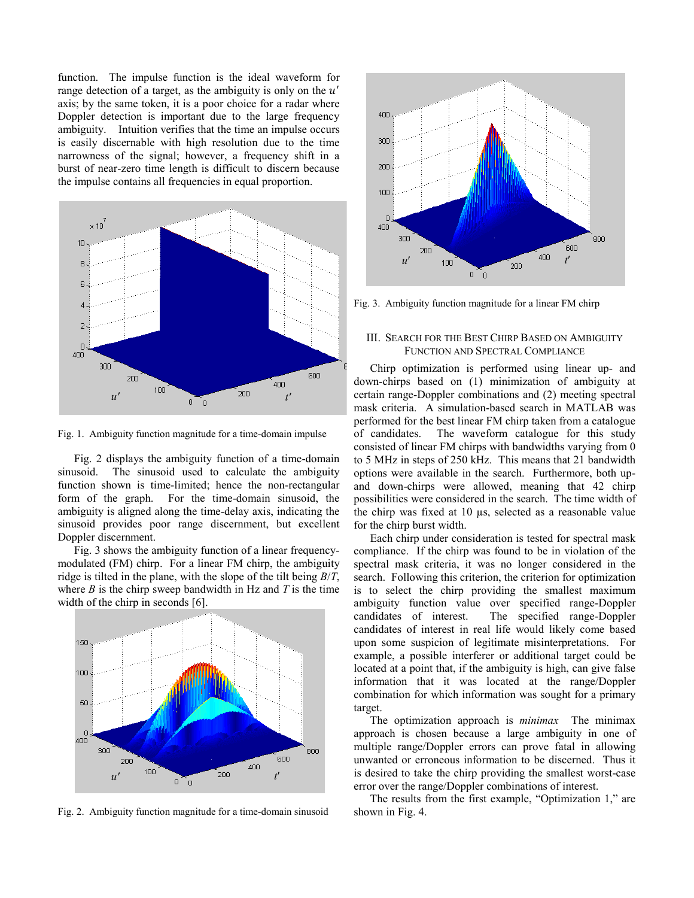function. The impulse function is the ideal waveform for range detection of a target, as the ambiguity is only on the  $u'$ axis; by the same token, it is a poor choice for a radar where Doppler detection is important due to the large frequency ambiguity. Intuition verifies that the time an impulse occurs is easily discernable with high resolution due to the time narrowness of the signal; however, a frequency shift in a burst of near-zero time length is difficult to discern because the impulse contains all frequencies in equal proportion.



Fig. 1. Ambiguity function magnitude for a time-domain impulse

Fig. 2 displays the ambiguity function of a time-domain sinusoid. The sinusoid used to calculate the ambiguity function shown is time-limited; hence the non-rectangular form of the graph. For the time-domain sinusoid, the ambiguity is aligned along the time-delay axis, indicating the sinusoid provides poor range discernment, but excellent Doppler discernment.

Fig. 3 shows the ambiguity function of a linear frequencymodulated (FM) chirp. For a linear FM chirp, the ambiguity ridge is tilted in the plane, with the slope of the tilt being *B*/*T*, where *B* is the chirp sweep bandwidth in Hz and *T* is the time width of the chirp in seconds [6].



Fig. 2. Ambiguity function magnitude for a time-domain sinusoid



Fig. 3. Ambiguity function magnitude for a linear FM chirp

## III. SEARCH FOR THE BEST CHIRP BASED ON AMBIGUITY FUNCTION AND SPECTRAL COMPLIANCE

Chirp optimization is performed using linear up- and down-chirps based on (1) minimization of ambiguity at certain range-Doppler combinations and (2) meeting spectral mask criteria. A simulation-based search in MATLAB was performed for the best linear FM chirp taken from a catalogue of candidates. The waveform catalogue for this study consisted of linear FM chirps with bandwidths varying from 0 to 5 MHz in steps of 250 kHz. This means that 21 bandwidth options were available in the search. Furthermore, both upand down-chirps were allowed, meaning that 42 chirp possibilities were considered in the search. The time width of the chirp was fixed at 10 µs, selected as a reasonable value for the chirp burst width.

Each chirp under consideration is tested for spectral mask compliance. If the chirp was found to be in violation of the spectral mask criteria, it was no longer considered in the search. Following this criterion, the criterion for optimization is to select the chirp providing the smallest maximum ambiguity function value over specified range-Doppler candidates of interest. The specified range-Doppler candidates of interest in real life would likely come based upon some suspicion of legitimate misinterpretations. For example, a possible interferer or additional target could be located at a point that, if the ambiguity is high, can give false information that it was located at the range/Doppler combination for which information was sought for a primary target.

The optimization approach is *minimax* The minimax approach is chosen because a large ambiguity in one of multiple range/Doppler errors can prove fatal in allowing unwanted or erroneous information to be discerned. Thus it is desired to take the chirp providing the smallest worst-case error over the range/Doppler combinations of interest.

The results from the first example, "Optimization 1," are shown in Fig. 4.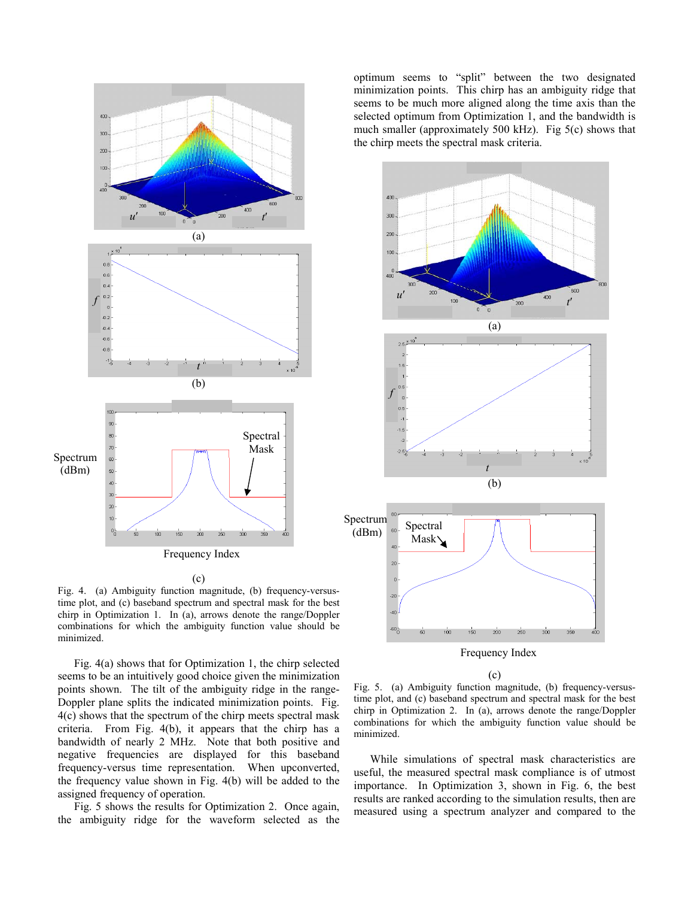

Frequency Index

(c)

Fig. 4. (a) Ambiguity function magnitude, (b) frequency-versustime plot, and (c) baseband spectrum and spectral mask for the best chirp in Optimization 1. In (a), arrows denote the range/Doppler combinations for which the ambiguity function value should be minimized.

Fig. 4(a) shows that for Optimization 1, the chirp selected seems to be an intuitively good choice given the minimization points shown. The tilt of the ambiguity ridge in the range-Doppler plane splits the indicated minimization points. Fig. 4(c) shows that the spectrum of the chirp meets spectral mask criteria. From Fig. 4(b), it appears that the chirp has a bandwidth of nearly 2 MHz. Note that both positive and negative frequencies are displayed for this baseband frequency-versus time representation. When upconverted, the frequency value shown in Fig. 4(b) will be added to the assigned frequency of operation.

Fig. 5 shows the results for Optimization 2. Once again, the ambiguity ridge for the waveform selected as the

optimum seems to "split" between the two designated minimization points. This chirp has an ambiguity ridge that seems to be much more aligned along the time axis than the selected optimum from Optimization 1, and the bandwidth is much smaller (approximately 500 kHz). Fig 5(c) shows that the chirp meets the spectral mask criteria.



(c)

Fig. 5. (a) Ambiguity function magnitude, (b) frequency-versustime plot, and (c) baseband spectrum and spectral mask for the best chirp in Optimization 2. In (a), arrows denote the range/Doppler combinations for which the ambiguity function value should be minimized.

While simulations of spectral mask characteristics are useful, the measured spectral mask compliance is of utmost importance. In Optimization 3, shown in Fig. 6, the best results are ranked according to the simulation results, then are measured using a spectrum analyzer and compared to the